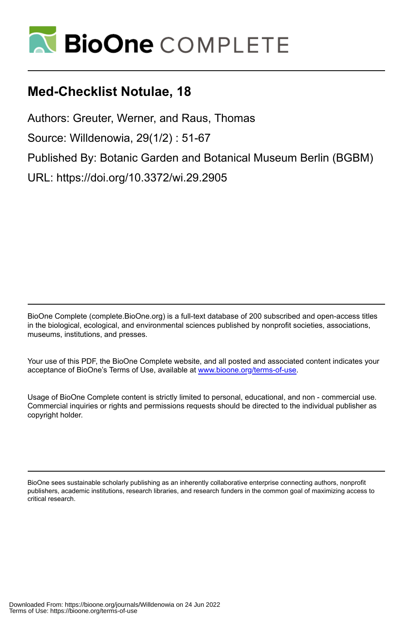

# **Med-Checklist Notulae, 18**

Authors: Greuter, Werner, and Raus, Thomas Source: Willdenowia, 29(1/2) : 51-67 Published By: Botanic Garden and Botanical Museum Berlin (BGBM) URL: https://doi.org/10.3372/wi.29.2905

BioOne Complete (complete.BioOne.org) is a full-text database of 200 subscribed and open-access titles in the biological, ecological, and environmental sciences published by nonprofit societies, associations, museums, institutions, and presses.

Your use of this PDF, the BioOne Complete website, and all posted and associated content indicates your acceptance of BioOne's Terms of Use, available at www.bioone.org/terms-of-use.

Usage of BioOne Complete content is strictly limited to personal, educational, and non - commercial use. Commercial inquiries or rights and permissions requests should be directed to the individual publisher as copyright holder.

BioOne sees sustainable scholarly publishing as an inherently collaborative enterprise connecting authors, nonprofit publishers, academic institutions, research libraries, and research funders in the common goal of maximizing access to critical research.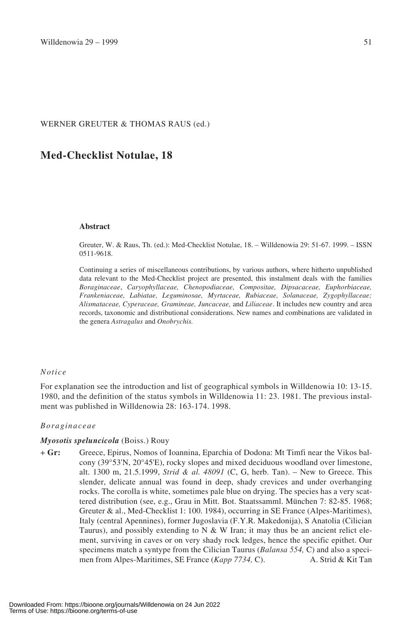#### WERNER GREUTER & THOMAS RAUS (ed.)

# **Med-Checklist Notulae, 18**

#### **Abstract**

Greuter, W. & Raus, Th. (ed.): Med-Checklist Notulae, 18. – Willdenowia 29: 51-67. 1999. – ISSN 0511-9618.

Continuing a series of miscellaneous contributions, by various authors, where hitherto unpublished data relevant to the Med-Checklist project are presented, this instalment deals with the families *Boraginaceae*, *Caryophyllaceae, Chenopodiaceae, Compositae, Dipsacaceae, Euphorbiaceae, Frankeniaceae, Labiatae, Leguminosae, Myrtaceae, Rubiaceae, Solanaceae, Zygophyllaceae; Alismataceae, Cyperaceae, Gramineae, Juncaceae,* and *Liliaceae*. It includes new country and area records, taxonomic and distributional considerations. New names and combinations are validated in the genera *Astragalus* and *Onobrychis.*

#### *Notice*

For explanation see the introduction and list of geographical symbols in Willdenowia 10: 13-15. 1980, and the definition of the status symbols in Willdenowia 11: 23. 1981. The previous instalment was published in Willdenowia 28: 163-174. 1998.

#### *Boraginaceae*

#### *Myosotis speluncicola* (Boiss.) Rouy

+ **Gr:** Greece, Epirus, Nomos of Ioannina, Eparchia of Dodona: Mt Timfi near the Vikos balcony (39°53'N, 20°45'E), rocky slopes and mixed deciduous woodland over limestone, alt. 1300 m, 21.5.1999, *Strid & al. 48091* (C, G, herb. Tan). – New to Greece. This slender, delicate annual was found in deep, shady crevices and under overhanging rocks. The corolla is white, sometimes pale blue on drying. The species has a very scattered distribution (see, e.g., Grau in Mitt. Bot. Staatssamml. München 7: 82-85. 1968; Greuter & al., Med-Checklist 1: 100. 1984), occurring in SE France (Alpes-Maritimes), Italy (central Apennines), former Jugoslavia (F.Y.R. Makedonija), S Anatolia (Cilician Taurus), and possibly extending to  $N \& W$  Iran; it may thus be an ancient relict element, surviving in caves or on very shady rock ledges, hence the specific epithet. Our specimens match a syntype from the Cilician Taurus (*Balansa 554,* C) and also a specimen from Alpes-Maritimes, SE France (*Kapp 7734,* C). A. Strid & Kit Tan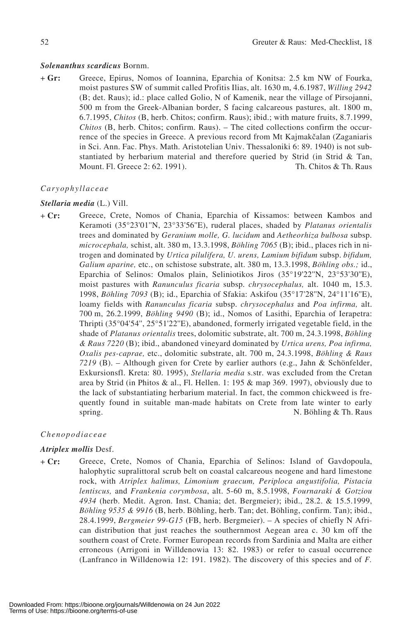## *Solenanthus scardicus* Bornm.

+ **Gr:** Greece, Epirus, Nomos of Ioannina, Eparchia of Konitsa: 2.5 km NW of Fourka, moist pastures SW of summit called Profitis Ilias, alt. 1630 m, 4.6.1987, *Willing 2942* (B; det. Raus); id.: place called Golio, N of Kamenik, near the village of Pirsojanni, 500 m from the Greek-Albanian border, S facing calcareous pastures, alt. 1800 m, 6.7.1995, *Chitos* (B, herb. Chitos; confirm. Raus); ibid.; with mature fruits, 8.7.1999, *Chitos* (B, herb. Chitos; confirm. Raus). – The cited collections confirm the occurrence of the species in Greece. A previous record from Mt Kajmakčalan (Zaganiaris in Sci. Ann. Fac. Phys. Math. Aristotelian Univ. Thessaloniki 6: 89. 1940) is not substantiated by herbarium material and therefore queried by Strid (in Strid & Tan, Mount. Fl. Greece 2: 62. 1991). Th. Chitos & Th. Raus

#### *Caryophyllaceae*

#### *Stellaria media* (L.) Vill.

+ **Cr:** Greece, Crete, Nomos of Chania, Eparchia of Kissamos: between Kambos and Keramoti (35°23'01''N, 23°33'56''E), ruderal places, shaded by *Platanus orientalis* trees and dominated by *Geranium molle, G. lucidum* and *Aetheorhiza bulbosa* subsp. *microcephala,* schist, alt. 380 m, 13.3.1998, *Böhling 7065* (B); ibid., places rich in nitrogen and dominated by *Urtica pilulifera, U. urens, Lamium bifidum* subsp. *bifidum, Galium aparine,* etc., on schistose substrate, alt. 380 m, 13.3.1998, *Böhling obs.;* id., Eparchia of Selinos: Omalos plain, Seliniotikos Jiros (35°19'22''N, 23°53'30''E), moist pastures with *Ranunculus ficaria* subsp. *chrysocephalus,* alt. 1040 m, 15.3. 1998, *Böhling 7093* (B); id., Eparchia of Sfakia: Askifou (35°17'28''N, 24°11'16''E), loamy fields with *Ranunculus ficaria* subsp. *chrysocephalus* and *Poa infirma,* alt. 700 m, 26.2.1999, *Böhling 9490* (B); id., Nomos of Lasithi, Eparchia of Ierapetra: Thripti (35°04'54'', 25°51'22''E), abandoned, formerly irrigated vegetable field, in the shade of *Platanus orientalis* trees, dolomitic substrate, alt. 700 m, 24.3.1998, *Böhling & Raus 7220* (B); ibid., abandoned vineyard dominated by *Urtica urens, Poa infirma, Oxalis pes-caprae,* etc., dolomitic substrate, alt. 700 m, 24.3.1998, *Böhling & Raus 7219* (B). – Although given for Crete by earlier authors (e.g., Jahn & Schönfelder, Exkursionsfl. Kreta: 80. 1995), *Stellaria media* s.str. was excluded from the Cretan area by Strid (in Phitos & al., Fl. Hellen. 1: 195 & map 369. 1997), obviously due to the lack of substantiating herbarium material. In fact, the common chickweed is frequently found in suitable man-made habitats on Crete from late winter to early spring. N. Böhling & Th. Raus

## *Chenopodiaceae*

#### *Atriplex mollis* Desf.

+ **Cr:** Greece, Crete, Nomos of Chania, Eparchia of Selinos: Island of Gavdopoula, halophytic supralittoral scrub belt on coastal calcareous neogene and hard limestone rock, with *Atriplex halimus, Limonium graecum, Periploca angustifolia, Pistacia lentiscus,* and *Frankenia corymbosa*, alt. 5-60 m, 8.5.1998, *Fournaraki & Gotziou 4934* (herb. Medit. Agron. Inst. Chania; det. Bergmeier); ibid., 28.2. & 15.5.1999, *Böhling 9535 & 9916* (B, herb. Böhling, herb. Tan; det. Böhling, confirm. Tan); ibid., 28.4.1999, *Bergmeier 99-G15* (FB, herb. Bergmeier). – A species of chiefly N African distribution that just reaches the southernmost Aegean area c. 30 km off the southern coast of Crete. Former European records from Sardinia and Malta are either erroneous (Arrigoni in Willdenowia 13: 82. 1983) or refer to casual occurrence (Lanfranco in Willdenowia 12: 191. 1982). The discovery of this species and of *F.*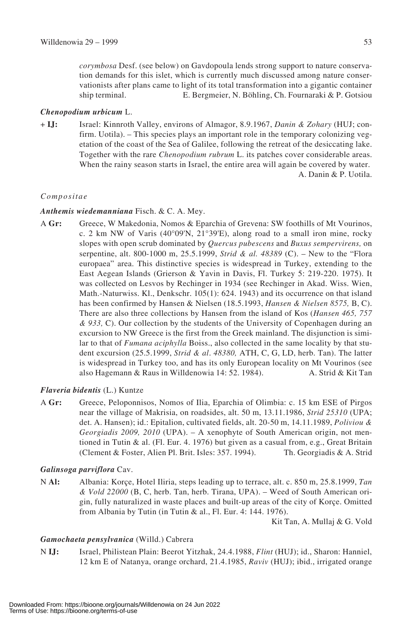*corymbosa* Desf. (see below) on Gavdopoula lends strong support to nature conservation demands for this islet, which is currently much discussed among nature conservationists after plans came to light of its total transformation into a gigantic container ship terminal. E. Bergmeier, N. Böhling, Ch. Fournaraki & P. Gotsiou

# *Chenopodium urbicum* L.

+ **IJ:** Israel: Kinnroth Valley, environs of Almagor, 8.9.1967, *Danin & Zohary* (HUJ; confirm. Uotila). – This species plays an important role in the temporary colonizing vegetation of the coast of the Sea of Galilee, following the retreat of the desiccating lake. Together with the rare *Chenopodium rubrum* L. its patches cover considerable areas. When the rainy season starts in Israel, the entire area will again be covered by water. A. Danin & P. Uotila.

# *Compositae*

# *Anthemis wiedemanniana* Fisch. & C. A. Mey.

A **Gr:** Greece, W Makedonia, Nomos & Eparchia of Grevena: SW foothills of Mt Vourinos, c. 2 km NW of Varis (40°09'N, 21°39'E), along road to a small iron mine, rocky slopes with open scrub dominated by *Quercus pubescens* and *Buxus sempervirens,* on serpentine, alt. 800-1000 m, 25.5.1999, *Strid & al. 48389* (C). – New to the "Flora europaea" area. This distinctive species is widespread in Turkey, extending to the East Aegean Islands (Grierson & Yavin in Davis, Fl. Turkey 5: 219-220. 1975). It was collected on Lesvos by Rechinger in 1934 (see Rechinger in Akad. Wiss. Wien, Math.-Naturwiss. Kl., Denkschr. 105(1): 624. 1943) and its occurrence on that island has been confirmed by Hansen & Nielsen (18.5.1993, *Hansen & Nielsen 8575,* B, C). There are also three collections by Hansen from the island of Kos (*Hansen 465, 757 & 933,* C). Our collection by the students of the University of Copenhagen during an excursion to NW Greece is the first from the Greek mainland. The disjunction is similar to that of *Fumana aciphylla* Boiss., also collected in the same locality by that student excursion (25.5.1999, *Strid & al*. *48380,* ATH, C, G, LD, herb. Tan). The latter is widespread in Turkey too, and has its only European locality on Mt Vourinos (see also Hagemann & Raus in Willdenowia 14: 52. 1984). A. Strid & Kit Tan

# *Flaveria bidentis* (L.) Kuntze

A **Gr:** Greece, Peloponnisos, Nomos of Ilia, Eparchia of Olimbia: c. 15 km ESE of Pirgos near the village of Makrisia, on roadsides, alt. 50 m, 13.11.1986, *Strid 25310* (UPA; det. A. Hansen); id.: Epitalion, cultivated fields, alt. 20-50 m, 14.11.1989, *Poliviou & Georgiadis 2009, 2010* (UPA). – A xenophyte of South American origin, not mentioned in Tutin & al. (Fl. Eur. 4. 1976) but given as a casual from, e.g., Great Britain (Clement & Foster, Alien Pl. Brit. Isles: 357. 1994). Th. Georgiadis & A. Strid

# *Galinsoga parviflora* Cav.

N **Al:** Albania: Korçe, Hotel Iliria, steps leading up to terrace, alt. c. 850 m, 25.8.1999, *Tan & Vold 22000* (B, C, herb. Tan, herb. Tirana, UPA). – Weed of South American origin, fully naturalized in waste places and built-up areas of the city of Korçe. Omitted from Albania by Tutin (in Tutin & al., Fl. Eur. 4: 144. 1976).

Kit Tan, A. Mullaj & G. Vold

# *Gamochaeta pensylvanica* (Willd.) Cabrera

N **IJ:** Israel, Philistean Plain: Beerot Yitzhak, 24.4.1988, *Flint* (HUJ); id., Sharon: Hanniel, 12 km E of Natanya, orange orchard, 21.4.1985, *Raviv* (HUJ); ibid., irrigated orange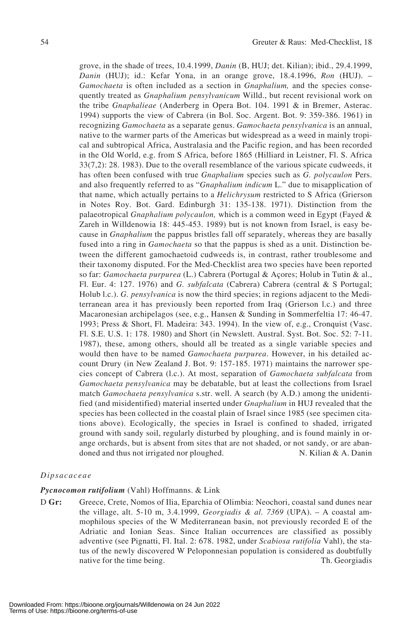grove, in the shade of trees, 10.4.1999, *Danin* (B, HUJ; det. Kilian); ibid., 29.4.1999, *Danin* (HUJ); id.: Kefar Yona, in an orange grove, 18.4.1996, *Ron* (HUJ). – *Gamochaeta* is often included as a section in *Gnaphalium,* and the species consequently treated as *Gnaphalium pensylvanicum* Willd., but recent revisional work on the tribe *Gnaphalieae* (Anderberg in Opera Bot. 104. 1991 & in Bremer, Asterac. 1994) supports the view of Cabrera (in Bol. Soc. Argent. Bot. 9: 359-386. 1961) in recognizing *Gamochaeta* as a separate genus. *Gamochaeta pensylvanica* is an annual, native to the warmer parts of the Americas but widespread as a weed in mainly tropical and subtropical Africa, Australasia and the Pacific region, and has been recorded in the Old World, e.g. from S Africa, before 1865 (Hilliard in Leistner, Fl. S. Africa 33(7,2): 28. 1983). Due to the overall resemblance of the various spicate cudweeds, it has often been confused with true *Gnaphalium* species such as *G. polycaulon* Pers. and also frequently referred to as "*Gnaphalium indicum* L." due to misapplication of that name, which actually pertains to a *Helichrysum* restricted to S Africa (Grierson in Notes Roy. Bot. Gard. Edinburgh 31: 135-138. 1971). Distinction from the palaeotropical *Gnaphalium polycaulon,* which is a common weed in Egypt (Fayed & Zareh in Willdenowia 18: 445-453. 1989) but is not known from Israel, is easy because in *Gnaphalium* the pappus bristles fall off separately, whereas they are basally fused into a ring in *Gamochaeta* so that the pappus is shed as a unit. Distinction between the different gamochaetoid cudweeds is, in contrast, rather troublesome and their taxonomy disputed. For the Med-Checklist area two species have been reported so far: *Gamochaeta purpurea* (L.) Cabrera (Portugal & Açores; Holub in Tutin & al., Fl. Eur. 4: 127. 1976) and *G. subfalcata* (Cabrera) Cabrera (central & S Portugal; Holub l.c.). *G. pensylvanica* is now the third species; in regions adjacent to the Mediterranean area it has previously been reported from Iraq (Grierson l.c.) and three Macaronesian archipelagos (see, e.g., Hansen & Sunding in Sommerfeltia 17: 46-47. 1993; Press & Short, Fl. Madeira: 343. 1994). In the view of, e.g., Cronquist (Vasc. Fl. S.E. U.S. 1: 178. 1980) and Short (in Newslett. Austral. Syst. Bot. Soc. 52: 7-11. 1987), these, among others, should all be treated as a single variable species and would then have to be named *Gamochaeta purpurea*. However, in his detailed account Drury (in New Zealand J. Bot. 9: 157-185. 1971) maintains the narrower species concept of Cabrera (l.c.). At most, separation of *Gamochaeta subfalcata* from *Gamochaeta pensylvanica* may be debatable, but at least the collections from Israel match *Gamochaeta pensylvanica* s.str. well. A search (by A.D.) among the unidentified (and misidentified) material inserted under *Gnaphalium* in HUJ revealed that the species has been collected in the coastal plain of Israel since 1985 (see specimen citations above). Ecologically, the species in Israel is confined to shaded, irrigated ground with sandy soil, regularly disturbed by ploughing, and is found mainly in orange orchards, but is absent from sites that are not shaded, or not sandy, or are abandoned and thus not irrigated nor ploughed. N. Kilian & A. Danin

#### *Dipsacaceae*

#### *Pycnocomon rutifolium* (Vahl) Hoffmanns. & Link

D **Gr:** Greece, Crete, Nomos of Ilia, Eparchia of Olimbia: Neochori, coastal sand dunes near the village, alt. 5-10 m, 3.4.1999, *Georgiadis & al. 7369* (UPA). – A coastal ammophilous species of the W Mediterranean basin, not previously recorded E of the Adriatic and Ionian Seas. Since Italian occurrences are classified as possibly adventive (see Pignatti, Fl. Ital. 2: 678. 1982, under *Scabiosa rutifolia* Vahl), the status of the newly discovered W Peloponnesian population is considered as doubtfully native for the time being. Th. Georgiadis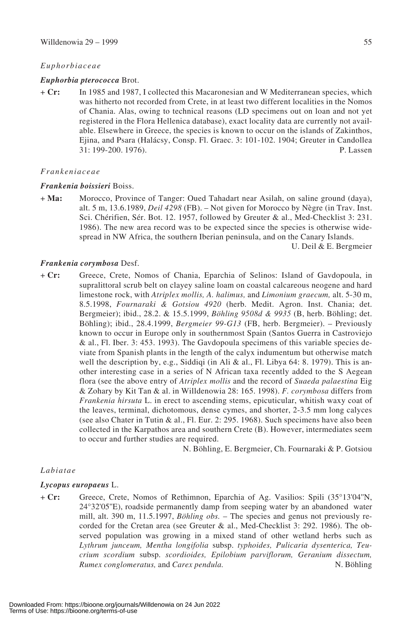#### *Euphorbiaceae*

#### *Euphorbia pterococca* Brot.

+ **Cr:** In 1985 and 1987, I collected this Macaronesian and W Mediterranean species, which was hitherto not recorded from Crete, in at least two different localities in the Nomos of Chania. Alas, owing to technical reasons (LD specimens out on loan and not yet registered in the Flora Hellenica database), exact locality data are currently not available. Elsewhere in Greece, the species is known to occur on the islands of Zakinthos, Ejina, and Psara (Halácsy, Consp. Fl. Graec. 3: 101-102. 1904; Greuter in Candollea 31: 199-200. 1976). P. Lassen

#### *Frankeniaceae*

#### *Frankenia boissieri* Boiss.

+ **Ma:** Morocco, Province of Tanger: Oued Tahadart near Asilah, on saline ground (daya), alt. 5 m, 13.6.1989, *Deil 4298* (FB). – Not given for Morocco by Nègre (in Trav. Inst. Sci. Chérifien, Sér. Bot. 12. 1957, followed by Greuter & al., Med-Checklist 3: 231. 1986). The new area record was to be expected since the species is otherwise widespread in NW Africa, the southern Iberian peninsula, and on the Canary Islands.

U. Deil & E. Bergmeier

#### *Frankenia corymbosa* Desf.

+ **Cr:** Greece, Crete, Nomos of Chania, Eparchia of Selinos: Island of Gavdopoula, in supralittoral scrub belt on clayey saline loam on coastal calcareous neogene and hard limestone rock, with *Atriplex mollis, A. halimus,* and *Limonium graecum,* alt. 5-30 m, 8.5.1998, *Fournaraki & Gotsiou 4920* (herb. Medit. Agron. Inst. Chania; det. Bergmeier); ibid., 28.2. & 15.5.1999, *Böhling 9508d & 9935* (B, herb. Böhling; det. Böhling); ibid., 28.4.1999, *Bergmeier 99-G13* (FB, herb. Bergmeier). – Previously known to occur in Europe only in southernmost Spain (Santos Guerra in Castroviejo & al., Fl. Iber. 3: 453. 1993). The Gavdopoula specimens of this variable species deviate from Spanish plants in the length of the calyx indumentum but otherwise match well the description by, e.g., Siddiqi (in Ali & al., Fl. Libya 64: 8. 1979). This is another interesting case in a series of N African taxa recently added to the S Aegean flora (see the above entry of *Atriplex mollis* and the record of *Suaeda palaestina* Eig & Zohary by Kit Tan & al. in Willdenowia 28: 165. 1998). *F. corymbosa* differs from *Frankenia hirsuta* L. in erect to ascending stems, epicuticular, whitish waxy coat of the leaves, terminal, dichotomous, dense cymes, and shorter, 2-3.5 mm long calyces (see also Chater in Tutin & al., Fl. Eur. 2: 295. 1968). Such specimens have also been collected in the Karpathos area and southern Crete (B). However, intermediates seem to occur and further studies are required.

N. Böhling, E. Bergmeier, Ch. Fournaraki & P. Gotsiou

#### *Labiatae*

#### *Lycopus europaeus* L.

+ **Cr:** Greece, Crete, Nomos of Rethimnon, Eparchia of Ag. Vasilios: Spili (35°13'04''N, 24°32'05''E), roadside permanently damp from seeping water by an abandoned water mill, alt. 390 m, 11.5.1997, *Böhling obs.* – The species and genus not previously recorded for the Cretan area (see Greuter & al., Med-Checklist 3: 292. 1986). The observed population was growing in a mixed stand of other wetland herbs such as *Lythrum junceum, Mentha longifolia* subsp. *typhoides, Pulicaria dysenterica, Teucrium scordium* subsp. *scordioides, Epilobium parviflorum, Geranium dissectum, Rumex conglomeratus,* and *Carex pendula.* N. Böhling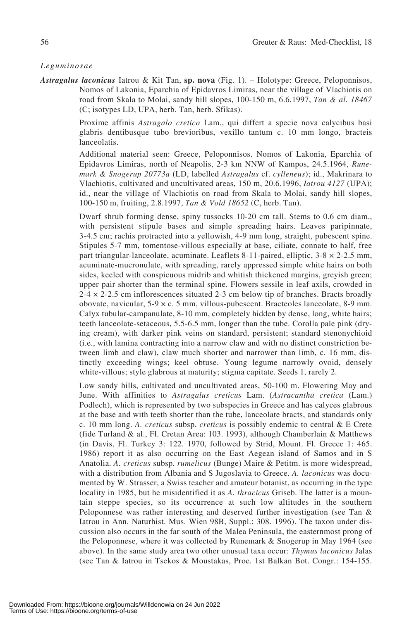#### *Leguminosae*

*Astragalus laconicus* Iatrou & Kit Tan, **sp. nova** (Fig. 1). – Holotype: Greece, Peloponnisos, Nomos of Lakonia, Eparchia of Epidavros Limiras, near the village of Vlachiotis on road from Skala to Molai, sandy hill slopes, 100-150 m, 6.6.1997, *Tan & al. 18467* (C; isotypes LD, UPA, herb. Tan, herb. Sfikas).

> Proxime affinis *Astragalo cretico* Lam., qui differt a specie nova calycibus basi glabris dentibusque tubo brevioribus, vexillo tantum c. 10 mm longo, bracteis lanceolatis.

> Additional material seen: Greece, Peloponnisos. Nomos of Lakonia, Eparchia of Epidavros Limiras, north of Neapolis, 2-3 km NNW of Kampos, 24.5.1964, *Runemark & Snogerup 20773a* (LD, labelled *Astragalus* cf. *cylleneus*); id., Makrinara to Vlachiotis, cultivated and uncultivated areas, 150 m, 20.6.1996, *Iatrou 4127* (UPA); id., near the village of Vlachiotis on road from Skala to Molai, sandy hill slopes, 100-150 m, fruiting, 2.8.1997, *Tan & Vold 18652* (C, herb. Tan).

> Dwarf shrub forming dense, spiny tussocks 10-20 cm tall. Stems to 0.6 cm diam., with persistent stipule bases and simple spreading hairs. Leaves paripinnate, 3-4.5 cm; rachis protracted into a yellowish, 4-9 mm long, straight, pubescent spine. Stipules 5-7 mm, tomentose-villous especially at base, ciliate, connate to half, free part triangular-lanceolate, acuminate. Leaflets 8-11-paired, elliptic, 3-8 × 2-2.5 mm, acuminate-mucronulate, with spreading, rarely appressed simple white hairs on both sides, keeled with conspicuous midrib and whitish thickened margins, greyish green; upper pair shorter than the terminal spine. Flowers sessile in leaf axils, crowded in  $2-4 \times 2-2.5$  cm inflorescences situated 2-3 cm below tip of branches. Bracts broadly obovate, navicular, 5-9 × c. 5 mm, villous-pubescent. Bracteoles lanceolate, 8-9 mm. Calyx tubular-campanulate, 8-10 mm, completely hidden by dense, long, white hairs; teeth lanceolate-setaceous, 5.5-6.5 mm, longer than the tube. Corolla pale pink (drying cream), with darker pink veins on standard, persistent; standard stenonychioid (i.e., with lamina contracting into a narrow claw and with no distinct constriction between limb and claw), claw much shorter and narrower than limb, c. 16 mm, distinctly exceeding wings; keel obtuse. Young legume narrowly ovoid, densely white-villous; style glabrous at maturity; stigma capitate. Seeds 1, rarely 2.

> Low sandy hills, cultivated and uncultivated areas, 50-100 m. Flowering May and June. With affinities to *Astragalus creticus* Lam. (*Astracantha cretica* (Lam.) Podlech), which is represented by two subspecies in Greece and has calyces glabrous at the base and with teeth shorter than the tube, lanceolate bracts, and standards only c. 10 mm long. *A. creticus* subsp. *creticus* is possibly endemic to central & E Crete (fide Turland & al., Fl. Cretan Area: 103. 1993), although Chamberlain & Matthews (in Davis, Fl. Turkey 3: 122. 1970, followed by Strid, Mount. Fl. Greece 1: 465. 1986) report it as also occurring on the East Aegean island of Samos and in S Anatolia. *A. creticus* subsp. *rumelicus* (Bunge) Maire & Petitm. is more widespread, with a distribution from Albania and S Jugoslavia to Greece. *A. laconicus* was documented by W. Strasser, a Swiss teacher and amateur botanist, as occurring in the type locality in 1985, but he misidentified it as *A. thracicus* Griseb. The latter is a mountain steppe species, so its occurrence at such low altitudes in the southern Peloponnese was rather interesting and deserved further investigation (see Tan & Iatrou in Ann. Naturhist. Mus. Wien 98B, Suppl.: 308. 1996). The taxon under discussion also occurs in the far south of the Malea Peninsula, the easternmost prong of the Peloponnese, where it was collected by Runemark & Snogerup in May 1964 (see above). In the same study area two other unusual taxa occur: *Thymus laconicus* Jalas (see Tan & Iatrou in Tsekos & Moustakas, Proc. 1st Balkan Bot. Congr.: 154-155.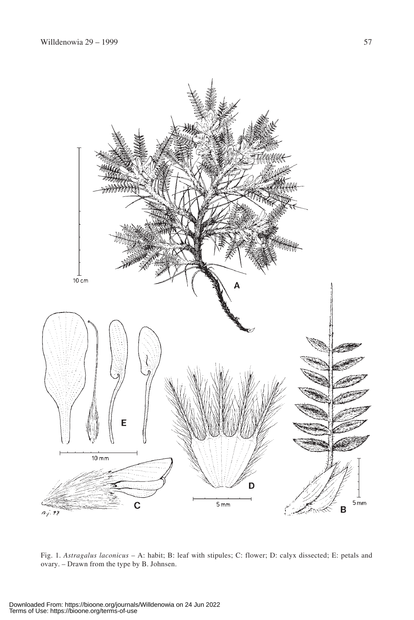

Fig. 1. *Astragalus laconicus* – A: habit; B: leaf with stipules; C: flower; D: calyx dissected; E: petals and ovary. – Drawn from the type by B. Johnsen.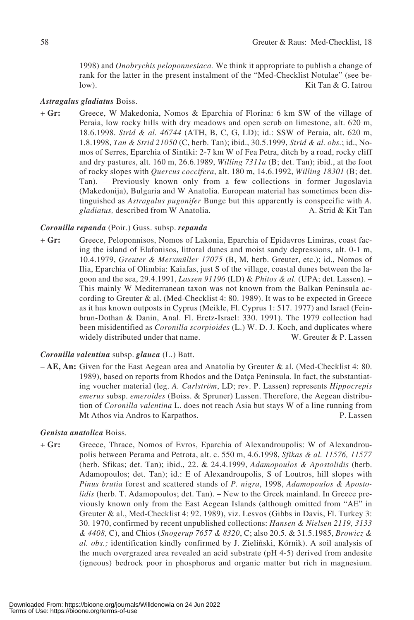1998) and *Onobrychis peloponnesiaca.* We think it appropriate to publish a change of rank for the latter in the present instalment of the "Med-Checklist Notulae" (see below). Kit Tan & G. Iatrou

## *Astragalus gladiatus* Boiss.

+ **Gr:** Greece, W Makedonia, Nomos & Eparchia of Florina: 6 km SW of the village of Peraia, low rocky hills with dry meadows and open scrub on limestone, alt. 620 m, 18.6.1998. *Strid & al. 46744* (ATH, B, C, G, LD); id.: SSW of Peraia, alt. 620 m, 1.8.1998, *Tan & Strid 21050* (C, herb. Tan); ibid., 30.5.1999, *Strid & al. obs.*; id., Nomos of Serres, Eparchia of Sintiki: 2-7 km W of Fea Petra, ditch by a road, rocky cliff and dry pastures, alt. 160 m, 26.6.1989, *Willing 7311a* (B; det. Tan); ibid., at the foot of rocky slopes with *Quercus coccifera*, alt. 180 m, 14.6.1992, *Willing 18301* (B; det. Tan). – Previously known only from a few collections in former Jugoslavia (Makedonija), Bulgaria and W Anatolia. European material has sometimes been distinguished as *Astragalus pugonifer* Bunge but this apparently is conspecific with *A. gladiatus*, described from W Anatolia. A. Strid & Kit Tan

# *Coronilla repanda* (Poir.) Guss. subsp. *repanda*

+ **Gr:** Greece, Peloponnisos, Nomos of Lakonia, Eparchia of Epidavros Limiras, coast facing the island of Elafonisos, littoral dunes and moist sandy depressions, alt. 0-1 m, 10.4.1979, *Greuter & Merxmüller 17075* (B, M, herb. Greuter, etc.); id., Nomos of Ilia, Eparchia of Olimbia: Kaiafas, just S of the village, coastal dunes between the lagoon and the sea, 29.4.1991, *Lassen 91196* (LD) & *Phitos & al.* (UPA; det. Lassen). – This mainly W Mediterranean taxon was not known from the Balkan Peninsula according to Greuter & al. (Med-Checklist 4: 80. 1989). It was to be expected in Greece as it has known outposts in Cyprus (Meikle, Fl. Cyprus 1: 517. 1977) and Israel (Feinbrun-Dothan & Danin, Anal. Fl. Eretz-Israel: 330. 1991). The 1979 collection had been misidentified as *Coronilla scorpioides* (L.) W. D. J. Koch, and duplicates where widely distributed under that name. W. Greuter & P. Lassen

# *Coronilla valentina* subsp. *glauca* (L.) Batt.

– **AE, An:** Given for the East Aegean area and Anatolia by Greuter & al. (Med-Checklist 4: 80. 1989), based on reports from Rhodos and the Datça Peninsula. In fact, the substantiating voucher material (leg. *A. Carlström*, LD; rev. P. Lassen) represents *Hippocrepis emerus* subsp. *emeroides* (Boiss. & Spruner) Lassen. Therefore, the Aegean distribution of *Coronilla valentina* L. does not reach Asia but stays W of a line running from Mt Athos via Andros to Karpathos. P. Lassen

## *Genista anatolica* Boiss.

+ **Gr:** Greece, Thrace, Nomos of Evros, Eparchia of Alexandroupolis: W of Alexandroupolis between Perama and Petrota, alt. c. 550 m, 4.6.1998, *Sfikas & al. 11576, 11577* (herb. Sfikas; det. Tan); ibid., 22. & 24.4.1999, *Adamopoulos & Apostolidis* (herb. Adamopoulos; det. Tan); id.: E of Alexandroupolis, S of Loutros, hill slopes with *Pinus brutia* forest and scattered stands of *P. nigra*, 1998, *Adamopoulos & Apostolidis* (herb. T. Adamopoulos; det. Tan). – New to the Greek mainland. In Greece previously known only from the East Aegean Islands (although omitted from "AE" in Greuter & al., Med-Checklist 4: 92. 1989), viz. Lesvos (Gibbs in Davis, Fl. Turkey 3: 30. 1970, confirmed by recent unpublished collections: *Hansen & Nielsen 2119, 3133 & 4408,* C), and Chios (*Snogerup 7657 & 8320*, C; also 20.5. & 31.5.1985, *Browicz & al. obs.;* identification kindly confirmed by J. Zieliñski, Kórnik). A soil analysis of the much overgrazed area revealed an acid substrate (pH 4-5) derived from andesite (igneous) bedrock poor in phosphorus and organic matter but rich in magnesium.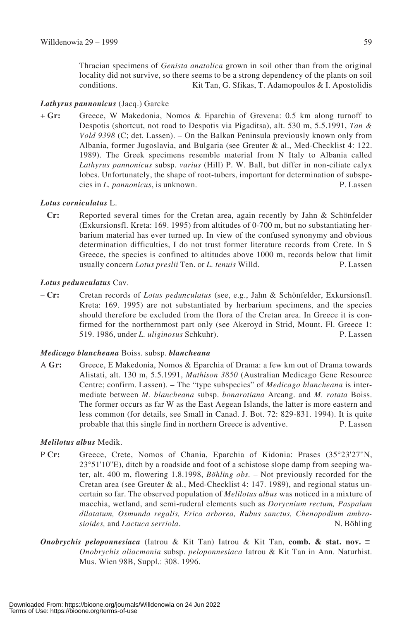Thracian specimens of *Genista anatolica* grown in soil other than from the original locality did not survive, so there seems to be a strong dependency of the plants on soil conditions. Kit Tan, G. Sfikas, T. Adamopoulos & I. Apostolidis

# *Lathyrus pannonicus* (Jacq.) Garcke

+ **Gr:** Greece, W Makedonia, Nomos & Eparchia of Grevena: 0.5 km along turnoff to Despotis (shortcut, not road to Despotis via Pigaditsa), alt. 530 m, 5.5.1991, *Tan & Vold 9398* (C; det. Lassen). – On the Balkan Peninsula previously known only from Albania, former Jugoslavia, and Bulgaria (see Greuter & al., Med-Checklist 4: 122. 1989). The Greek specimens resemble material from N Italy to Albania called *Lathyrus pannonicus* subsp. *varius* (Hill) P. W. Ball, but differ in non-ciliate calyx lobes. Unfortunately, the shape of root-tubers, important for determination of subspecies in *L. pannonicus*, is unknown. P. Lassen

# *Lotus corniculatus* L.

– **Cr:** Reported several times for the Cretan area, again recently by Jahn & Schönfelder (Exkursionsfl. Kreta: 169. 1995) from altitudes of 0-700 m, but no substantiating herbarium material has ever turned up. In view of the confused synonymy and obvious determination difficulties, I do not trust former literature records from Crete. In S Greece, the species is confined to altitudes above 1000 m, records below that limit usually concern *Lotus preslii* Ten. or *L. tenuis* Willd. P. Lassen

## *Lotus pedunculatus* Cav.

– **Cr:** Cretan records of *Lotus pedunculatus* (see, e.g., Jahn & Schönfelder, Exkursionsfl. Kreta: 169. 1995) are not substantiated by herbarium specimens, and the species should therefore be excluded from the flora of the Cretan area. In Greece it is confirmed for the northernmost part only (see Akeroyd in Strid, Mount. Fl. Greece 1: 519. 1986, under *L. uliginosus* Schkuhr). P. Lassen

## *Medicago blancheana* Boiss. subsp. *blancheana*

A **Gr:** Greece, E Makedonia, Nomos & Eparchia of Drama: a few km out of Drama towards Alistati, alt. 130 m, 5.5.1991, *Mathison 3850* (Australian Medicago Gene Resource Centre; confirm. Lassen). – The "type subspecies" of *Medicago blancheana* is intermediate between *M. blancheana* subsp. *bonarotiana* Arcang. and *M. rotata* Boiss. The former occurs as far W as the East Aegean Islands, the latter is more eastern and less common (for details, see Small in Canad. J. Bot. 72: 829-831. 1994). It is quite probable that this single find in northern Greece is adventive. P. Lassen

# *Melilotus albus* Medik.

- P **Cr:** Greece, Crete, Nomos of Chania, Eparchia of Kidonia: Prases (35°23'27''N, 23°51'10''E), ditch by a roadside and foot of a schistose slope damp from seeping water, alt. 400 m, flowering 1.8.1998, *Böhling obs.* – Not previously recorded for the Cretan area (see Greuter & al., Med-Checklist 4: 147. 1989), and regional status uncertain so far. The observed population of *Melilotus albus* was noticed in a mixture of macchia, wetland, and semi-ruderal elements such as *Dorycnium rectum, Paspalum dilatatum, Osmunda regalis, Erica arborea, Rubus sanctus, Chenopodium ambrosioides,* and *Lactuca serriola*. N. Böhling
- *Onobrychis peloponnesiaca* (Iatrou & Kit Tan) Iatrou & Kit Tan, **comb. & stat. nov.**  $\equiv$ *Onobrychis aliacmonia* subsp. *peloponnesiaca* Iatrou & Kit Tan in Ann. Naturhist. Mus. Wien 98B, Suppl.: 308. 1996.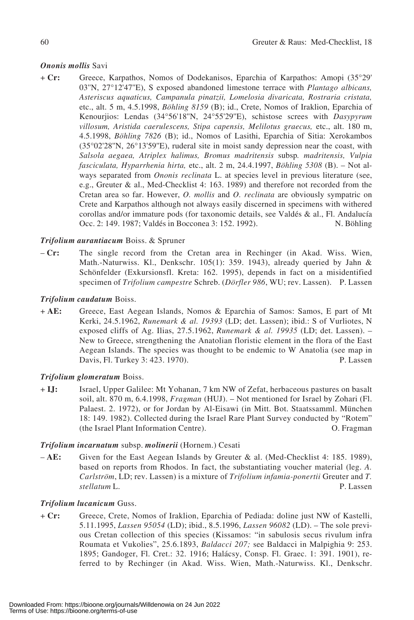# *Ononis mollis* Savi

+ **Cr:** Greece, Karpathos, Nomos of Dodekanisos, Eparchia of Karpathos: Amopi (35°29' 03''N, 27°12'47''E), S exposed abandoned limestone terrace with *Plantago albicans, Asteriscus aquaticus, Campanula pinatzii, Lomelosia divaricata, Rostraria cristata,* etc., alt. 5 m, 4.5.1998, *Böhling 8159* (B); id., Crete, Nomos of Iraklion, Eparchia of Kenourjios: Lendas (34°56'18''N, 24°55'29''E), schistose screes with *Dasypyrum villosum, Aristida caerulescens, Stipa capensis, Melilotus graecus,* etc., alt. 180 m, 4.5.1998, *Böhling 7826* (B); id., Nomos of Lasithi, Eparchia of Sitia: Xerokambos (35°02'28''N, 26°13'59''E), ruderal site in moist sandy depression near the coast, with *Salsola aegaea, Atriplex halimus, Bromus madritensis* subsp*. madritensis, Vulpia fasciculata, Hyparrhenia hirta,* etc., alt. 2 m, 24.4.1997, *Böhling 5308* (B). – Not always separated from *Ononis reclinata* L. at species level in previous literature (see, e.g., Greuter & al., Med-Checklist 4: 163. 1989) and therefore not recorded from the Cretan area so far. However, *O. mollis* and *O. reclinata* are obviously sympatric on Crete and Karpathos although not always easily discerned in specimens with withered corollas and/or immature pods (for taxonomic details, see Valdés & al., Fl. Andalucía Occ. 2: 149. 1987; Valdés in Bocconea 3: 152. 1992). N. Böhling

# *Trifolium aurantiacum* Boiss. & Spruner

– **Cr:** The single record from the Cretan area in Rechinger (in Akad. Wiss. Wien, Math.-Naturwiss. Kl., Denkschr. 105(1): 359. 1943), already queried by Jahn & Schönfelder (Exkursionsfl. Kreta: 162. 1995), depends in fact on a misidentified specimen of *Trifolium campestre* Schreb. (*Dörfler 986*, WU; rev. Lassen). P. Lassen

## *Trifolium caudatum* Boiss.

+ **AE:** Greece, East Aegean Islands, Nomos & Eparchia of Samos: Samos, E part of Mt Kerki, 24.5.1962, *Runemark & al. 19393* (LD; det. Lassen); ibid.: S of Vurliotes, N exposed cliffs of Ag. Ilias, 27.5.1962, *Runemark & al. 19935* (LD; det. Lassen). – New to Greece, strengthening the Anatolian floristic element in the flora of the East Aegean Islands. The species was thought to be endemic to W Anatolia (see map in Davis, Fl. Turkey 3: 423. 1970). P. Lassen

# *Trifolium glomeratum* Boiss.

+ **IJ:** Israel, Upper Galilee: Mt Yohanan, 7 km NW of Zefat, herbaceous pastures on basalt soil, alt. 870 m, 6.4.1998, *Fragman* (HUJ). – Not mentioned for Israel by Zohari (Fl. Palaest. 2. 1972), or for Jordan by Al-Eisawi (in Mitt. Bot. Staatssamml. München 18: 149. 1982). Collected during the Israel Rare Plant Survey conducted by "Rotem" (the Israel Plant Information Centre). O. Fragman

## *Trifolium incarnatum* subsp. *molinerii* (Hornem.) Cesati

– **AE:** Given for the East Aegean Islands by Greuter & al. (Med-Checklist 4: 185. 1989), based on reports from Rhodos. In fact, the substantiating voucher material (leg. *A. Carlström*, LD; rev. Lassen) is a mixture of *Trifolium infamia-ponertii* Greuter and *T. stellatum* L. P. Lassen

## *Trifolium lucanicum* Guss.

+ **Cr:** Greece, Crete, Nomos of Iraklion, Eparchia of Pediada: doline just NW of Kastelli, 5.11.1995, *Lassen 95054* (LD); ibid., 8.5.1996, *Lassen 96082* (LD). – The sole previous Cretan collection of this species (Kissamos: "in sabulosis secus rivulum infra Roumata et Vukolies", 25.6.1893, *Baldacci 207;* see Baldacci in Malpighia 9: 253. 1895; Gandoger, Fl. Cret.: 32. 1916; Halácsy, Consp. Fl. Graec. 1: 391. 1901), referred to by Rechinger (in Akad. Wiss. Wien, Math.-Naturwiss. Kl., Denkschr.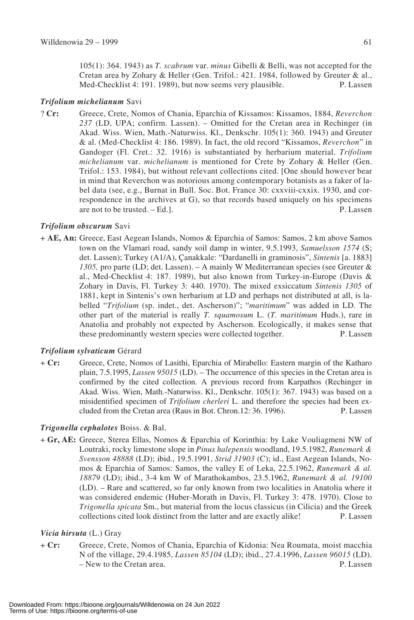105(1): 364. 1943) as *T. scabrum* var. *minus* Gibelli & Belli, was not accepted for the Cretan area by Zohary & Heller (Gen. Trifol.: 421. 1984, followed by Greuter & al., Med-Checklist 4: 191. 1989), but now seems very plausible. P. Lassen

## *Trifolium michelianum* Savi

? **Cr:** Greece, Crete, Nomos of Chania, Eparchia of Kissamos: Kissamos, 1884, *Reverchon 237* (LD, UPA; confirm. Lassen). – Omitted for the Cretan area in Rechinger (in Akad. Wiss. Wien, Math.-Naturwiss. Kl., Denkschr. 105(1): 360. 1943) and Greuter & al. (Med-Checklist 4: 186. 1989). In fact, the old record "Kissamos, *Reverchon*" in Gandoger (Fl. Cret.: 32. 1916) is substantiated by herbarium material. *Trifolium michelianum* var. *michelianum* is mentioned for Crete by Zohary & Heller (Gen. Trifol.: 153. 1984), but without relevant collections cited. [One should however bear in mind that Reverchon was notorious among contemporary botanists as a faker of label data (see, e.g., Burnat in Bull. Soc. Bot. France 30: cxxviii-cxxix. 1930, and correspondence in the archives at G), so that records based uniquely on his specimens are not to be trusted. – Ed.]. P. Lassen

# *Trifolium obscurum* Savi

+ **AE, An:** Greece, East Aegean Islands, Nomos & Eparchia of Samos: Samos, 2 km above Samos town on the Vlamari road, sandy soil damp in winter, 9.5.1993, *Samuelsson 1574* (S; det. Lassen); Turkey (A1/A), Çanakkale: "Dardanelli in graminosis", *Sintenis* [a. 1883] *1305,* pro parte (LD; det. Lassen). – A mainly W Mediterranean species (see Greuter & al., Med-Checklist 4: 187. 1989), but also known from Turkey-in-Europe (Davis & Zohary in Davis, Fl. Turkey 3: 440. 1970). The mixed exsiccatum *Sintenis 1305* of 1881, kept in Sintenis's own herbarium at LD and perhaps not distributed at all, is labelled "*Trifolium* (sp. indet., det. Ascherson)"; "*maritimum*" was added in LD. The other part of the material is really *T. squamosum* L. (*T. maritimum* Huds.), rare in Anatolia and probably not expected by Ascherson. Ecologically, it makes sense that these predominantly western species were collected together. P. Lassen

# *Trifolium sylvaticum* Gérard

+ **Cr:** Greece, Crete, Nomos of Lasithi, Eparchia of Mirabello: Eastern margin of the Katharo plain, 7.5.1995, *Lassen 95015* (LD). – The occurrence of this species in the Cretan area is confirmed by the cited collection. A previous record from Karpathos (Rechinger in Akad. Wiss. Wien, Math.-Naturwiss. Kl., Denkschr. 105(1): 367. 1943) was based on a misidentified specimen of *Trifolium cherleri* L. and therefore the species had been excluded from the Cretan area (Raus in Bot. Chron.12: 36. 1996). P. Lassen

# *Trigonella cephalotes* Boiss. & Bal.

+ **Gr, AE:** Greece, Sterea Ellas, Nomos & Eparchia of Korinthia: by Lake Vouliagmeni NW of Loutraki, rocky limestone slope in *Pinus halepensis* woodland, 19.5.1982, *Runemark & Svensson 48888* (LD); ibid., 19.5.1991, *Strid 31903* (C); id., East Aegean Islands, Nomos & Eparchia of Samos: Samos, the valley E of Leka, 22.5.1962, *Runemark & al. 18879* (LD); ibid., 3-4 km W of Marathokambos, 23.5.1962, *Runemark & al. 19100* (LD). – Rare and scattered, so far only known from two localities in Anatolia where it was considered endemic (Huber-Morath in Davis, Fl. Turkey 3: 478. 1970). Close to *Trigonella spicata* Sm., but material from the locus classicus (in Cilicia) and the Greek collections cited look distinct from the latter and are exactly alike! P. Lassen

## *Vicia hirsuta* (L.) Gray

+ **Cr:** Greece, Crete, Nomos of Chania, Eparchia of Kidonia: Nea Roumata, moist macchia N of the village, 29.4.1985, *Lassen 85104* (LD); ibid., 27.4.1996, *Lassen 96015* (LD). – New to the Cretan area. P. Lassen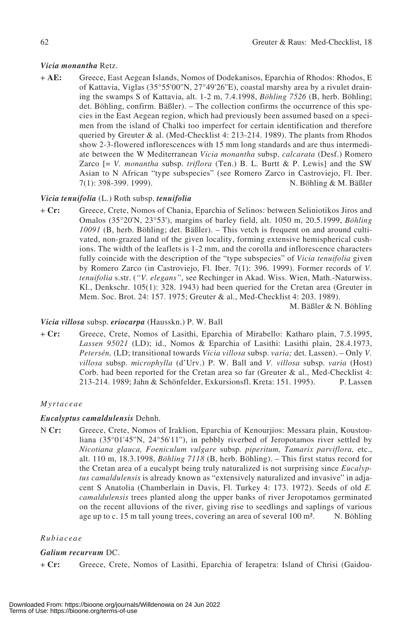## *Vicia monantha* Retz.

+ **AE:** Greece, East Aegean Islands, Nomos of Dodekanisos, Eparchia of Rhodos: Rhodos, E of Kattavia, Viglas (35°55'00''N, 27°49'26''E), coastal marshy area by a rivulet draining the swamps S of Kattavia, alt. 1-2 m, 7.4.1998, *Böhling 7526* (B, herb. Böhling; det. Böhling, confirm. Bäßler). – The collection confirms the occurrence of this species in the East Aegean region, which had previously been assumed based on a specimen from the island of Chalki too imperfect for certain identification and therefore queried by Greuter & al. (Med-Checklist 4: 213-214. 1989). The plants from Rhodos show 2-3-flowered inflorescences with 15 mm long standards and are thus intermediate between the W Mediterranean *Vicia monantha* subsp. *calcarata* (Desf.) Romero Zarco [= *V. monantha* subsp. *triflora* (Ten.) B. L. Burtt & P. Lewis] and the SW Asian to N African "type subspecies" (see Romero Zarco in Castroviejo, Fl. Iber. 7(1): 398-399. 1999). N. Böhling & M. Bäßler

## *Vicia tenuifolia* (L.) Roth subsp. *tenuifolia*

+ **Cr:** Greece, Crete, Nomos of Chania, Eparchia of Selinos: between Seliniotikos Jiros and Omalos (35°20'N, 23°53'), margins of barley field, alt. 1050 m, 20.5.1999, *Böhling 10091* (B, herb. Böhling; det. Bäßler). – This vetch is frequent on and around cultivated, non-grazed land of the given locality, forming extensive hemispherical cushions. The width of the leaflets is 1-2 mm, and the corolla and inflorescence characters fully coincide with the description of the "type subspecies" of *Vicia tenuifolia* given by Romero Zarco (in Castroviejo, Fl. Iber. 7(1): 396. 1999). Former records of *V. tenuifolia* s.str. (*"V. elegans"*, see Rechinger in Akad. Wiss. Wien, Math.-Naturwiss. Kl., Denkschr. 105(1): 328. 1943) had been queried for the Cretan area (Greuter in Mem. Soc. Brot. 24: 157. 1975; Greuter & al., Med-Checklist 4: 203. 1989).

M. Bäßler & N. Böhling

## *Vicia villosa* subsp. *eriocarpa* (Hausskn.) P. W. Ball

+ **Cr:** Greece, Crete, Nomos of Lasithi, Eparchia of Mirabello: Katharo plain, 7.5.1995, *Lassen 95021* (LD); id., Nomos & Eparchia of Lasithi: Lasithi plain, 28.4.1973, *Petersén,* (LD; transitional towards *Vicia villosa* subsp. *varia;* det. Lassen). – Only *V. villosa* subsp. *microphylla* (d'Urv.) P. W. Ball and *V. villosa* subsp. *varia* (Host) Corb. had been reported for the Cretan area so far (Greuter & al., Med-Checklist 4: 213-214. 1989; Jahn & Schönfelder, Exkursionsfl. Kreta: 151. 1995). P. Lassen

## *Myrtaceae*

## *Eucalyptus camaldulensis* Dehnh.

N **Cr:** Greece, Crete, Nomos of Iraklion, Eparchia of Kenourjios: Messara plain, Koustouliana (35°01'45''N, 24°56'11''), in pebbly riverbed of Jeropotamos river settled by *Nicotiana glauca, Foeniculum vulgare* subsp*. piperitum, Tamarix parviflora,* etc., alt. 110 m, 18.3.1998, *Böhling 7118* (B, herb. Böhling). – This first status record for the Cretan area of a eucalypt being truly naturalized is not surprising since *Eucalyptus camaldulensis* is already known as "extensively naturalized and invasive" in adjacent S Anatolia (Chamberlain in Davis, Fl. Turkey 4: 173. 1972). Seeds of old *E. camaldulensis* trees planted along the upper banks of river Jeropotamos germinated on the recent alluvions of the river, giving rise to seedlings and saplings of various age up to c. 15 m tall young trees, covering an area of several 100 m<sup>2</sup>. N. Böhling

## *Rubiaceae*

## *Galium recurvum* DC.

+ **Cr:** Greece, Crete, Nomos of Lasithi, Eparchia of Ierapetra: Island of Chrisi (Gaidou-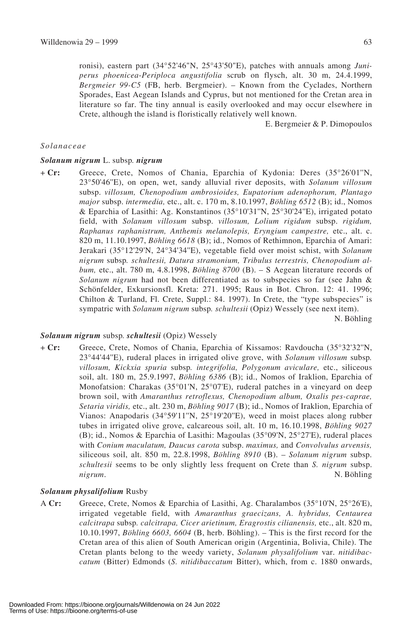ronisi), eastern part (34°52'46"N, 25°43'50"E), patches with annuals among *Juniperus phoenicea*-*Periploca angustifolia* scrub on flysch, alt. 30 m, 24.4.1999, *Bergmeier 99-C5* (FB, herb. Bergmeier). – Known from the Cyclades, Northern Sporades, East Aegean Islands and Cyprus, but not mentioned for the Cretan area in literature so far. The tiny annual is easily overlooked and may occur elsewhere in Crete, although the island is floristically relatively well known.

E. Bergmeier & P. Dimopoulos

#### *Solanaceae*

#### *Solanum nigrum* L. subsp*. nigrum*

+ **Cr:** Greece, Crete, Nomos of Chania, Eparchia of Kydonia: Deres (35°26'01''N, 23°50'46''E), on open, wet, sandy alluvial river deposits, with *Solanum villosum* subsp. *villosum, Chenopodium ambrosioides, Eupatorium adenophorum, Plantago major* subsp. *intermedia,* etc., alt. c. 170 m, 8.10.1997, *Böhling 6512* (B); id., Nomos & Eparchia of Lasithi: Ag. Konstantinos (35°10'31''N, 25°30'24''E), irrigated potato field, with *Solanum villosum* subsp. *villosum, Lolium rigidum* subsp. *rigidum, Raphanus raphanistrum, Anthemis melanolepis, Eryngium campestre,* etc., alt. c. 820 m, 11.10.1997, *Böhling 6618* (B); id., Nomos of Rethimnon, Eparchia of Amari: Jerakari (35°12'29'N, 24°34'34''E), vegetable field over moist schist, with *Solanum nigrum* subsp*. schultesii, Datura stramonium, Tribulus terrestris, Chenopodium album,* etc., alt. 780 m, 4.8.1998, *Böhling 8700* (B). – S Aegean literature records of *Solanum nigrum* had not been differentiated as to subspecies so far (see Jahn & Schönfelder, Exkursionsfl. Kreta: 271. 1995; Raus in Bot. Chron. 12: 41. 1996; Chilton & Turland, Fl. Crete, Suppl.: 84. 1997). In Crete, the "type subspecies" is sympatric with *Solanum nigrum* subsp*. schultesii* (Opiz) Wessely (see next item).

N. Böhling

#### *Solanum nigrum* subsp*. schultesii* (Opiz) Wessely

+ **Cr:** Greece, Crete, Nomos of Chania, Eparchia of Kissamos: Ravdoucha (35°32'32''N, 23°44'44''E), ruderal places in irrigated olive grove, with *Solanum villosum* subsp*. villosum, Kickxia spuria* subsp*. integrifolia, Polygonum aviculare,* etc., siliceous soil, alt. 180 m, 25.9.1997, *Böhling 6386* (B); id., Nomos of Iraklion, Eparchia of Monofatsion: Charakas (35°01'N, 25°07'E), ruderal patches in a vineyard on deep brown soil, with *Amaranthus retroflexus, Chenopodium album, Oxalis pes-caprae, Setaria viridis,* etc., alt. 230 m, *Böhling 9017* (B); id., Nomos of Iraklion, Eparchia of Vianos: Anapodaris (34°59'11''N, 25°19'20''E), weed in moist places along rubber tubes in irrigated olive grove, calcareous soil, alt. 10 m, 16.10.1998, *Böhling 9027* (B); id., Nomos & Eparchia of Lasithi: Magoulas (35°09'N, 25°27'E), ruderal places with *Conium maculatum, Daucus carota* subsp. *maximus,* and *Convolvulus arvensis,* siliceous soil, alt. 850 m, 22.8.1998, *Böhling 8910* (B). – *Solanum nigrum* subsp. *schultesii* seems to be only slightly less frequent on Crete than *S. nigrum* subsp. *nigrum*. N. Böhling

## *Solanum physalifolium* Rusby

A **Cr:** Greece, Crete, Nomos & Eparchia of Lasithi, Ag. Charalambos (35°10'N, 25°26'E), irrigated vegetable field, with *Amaranthus graecizans, A. hybridus, Centaurea calcitrapa* subsp*. calcitrapa, Cicer arietinum, Eragrostis cilianensis,* etc., alt. 820 m, 10.10.1997, *Böhling 6603, 6604* (B, herb. Böhling). – This is the first record for the Cretan area of this alien of South American origin (Argentinia, Bolivia, Chile). The Cretan plants belong to the weedy variety, *Solanum physalifolium* var. *nitidibaccatum* (Bitter) Edmonds (*S. nitidibaccatum* Bitter), which, from c. 1880 onwards,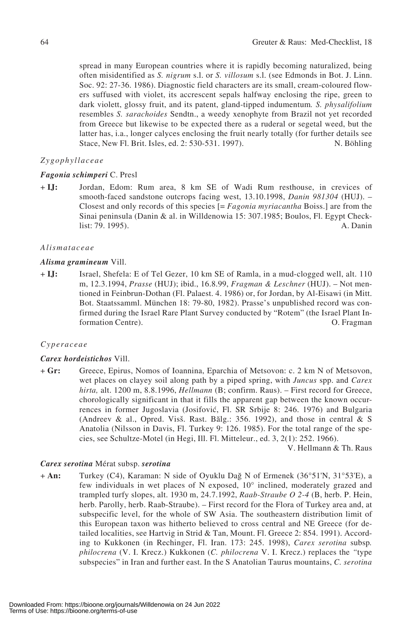spread in many European countries where it is rapidly becoming naturalized, being often misidentified as *S. nigrum* s.l. or *S. villosum* s.l. (see Edmonds in Bot. J. Linn. Soc. 92: 27-36. 1986). Diagnostic field characters are its small, cream-coloured flowers suffused with violet, its accrescent sepals halfway enclosing the ripe, green to dark violett, glossy fruit, and its patent, gland-tipped indumentum*. S. physalifolium* resembles *S. sarachoides* Sendtn., a weedy xenophyte from Brazil not yet recorded from Greece but likewise to be expected there as a ruderal or segetal weed, but the latter has, i.a., longer calyces enclosing the fruit nearly totally (for further details see Stace, New Fl. Brit. Isles, ed. 2: 530-531. 1997). N. Böhling

## *Zygophyllaceae*

## *Fagonia schimperi* C. Presl

+ **IJ:** Jordan, Edom: Rum area, 8 km SE of Wadi Rum resthouse, in crevices of smooth-faced sandstone outcrops facing west, 13.10.1998, *Danin 981304* (HUJ). – Closest and only records of this species [= *Fagonia myriacantha* Boiss.] are from the Sinai peninsula (Danin & al. in Willdenowia 15: 307.1985; Boulos, Fl. Egypt Checklist: 79. 1995). A. Danin

#### *Alismataceae*

#### *Alisma gramineum* Vill.

+ **IJ:** Israel, Shefela: E of Tel Gezer, 10 km SE of Ramla, in a mud-clogged well, alt. 110 m, 12.3.1994, *Prasse* (HUJ); ibid., 16.8.99, *Fragman & Leschner* (HUJ). – Not mentioned in Feinbrun-Dothan (Fl. Palaest. 4. 1986) or, for Jordan, by Al-Eisawi (in Mitt. Bot. Staatssamml. München 18: 79-80, 1982). Prasse's unpublished record was confirmed during the Israel Rare Plant Survey conducted by "Rotem" (the Israel Plant Information Centre). O. Fragman

## *Cyperaceae*

## *Carex hordeistichos* Vill.

+ **Gr:** Greece, Epirus, Nomos of Ioannina, Eparchia of Metsovon: c. 2 km N of Metsovon, wet places on clayey soil along path by a piped spring, with *Juncus* spp. and *Carex hirta,* alt. 1200 m, 8.8.1996, *Hellmann* (B; confirm. Raus). – First record for Greece, chorologically significant in that it fills the apparent gap between the known occurrences in former Jugoslavia (Josifovi6, Fl. SR Srbije 8: 246. 1976) and Bulgaria (Andreev & al., Opred. Visš. Rast. Bălg.: 356. 1992), and those in central & S Anatolia (Nilsson in Davis, Fl. Turkey 9: 126. 1985). For the total range of the species, see Schultze-Motel (in Hegi, Ill. Fl. Mitteleur., ed. 3, 2(1): 252. 1966).

V. Hellmann & Th. Raus

#### *Carex serotina* Mérat subsp. *serotina*

+ **An:** Turkey (C4), Karaman: N side of Oyuklu Dağ N of Ermenek (36°51'N, 31°53'E), a few individuals in wet places of N exposed, 10° inclined, moderately grazed and trampled turfy slopes, alt. 1930 m, 24.7.1992, *Raab-Straube O 2-4* (B, herb. P. Hein, herb. Parolly, herb. Raab-Straube). – First record for the Flora of Turkey area and, at subspecific level, for the whole of SW Asia. The southeastern distribution limit of this European taxon was hitherto believed to cross central and NE Greece (for detailed localities, see Hartvig in Strid & Tan, Mount. Fl. Greece 2: 854. 1991). According to Kukkonen (in Rechinger, Fl. Iran. 173: 245. 1998), *Carex serotina* subsp*. philocrena* (V. I. Krecz.) Kukkonen (*C. philocrena* V. I. Krecz.) replaces the *"*type subspecies" in Iran and further east. In the S Anatolian Taurus mountains, *C. serotina*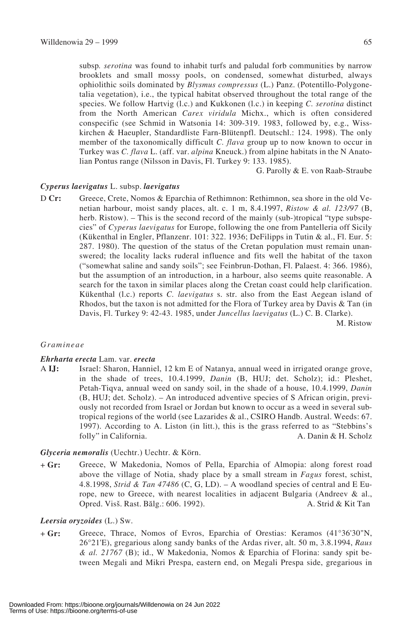subsp*. serotina* was found to inhabit turfs and paludal forb communities by narrow brooklets and small mossy pools, on condensed, somewhat disturbed, always ophiolithic soils dominated by *Blysmus compressus* (L.) Panz. (Potentillo-Polygonetalia vegetation), i.e., the typical habitat observed throughout the total range of the species. We follow Hartvig (l.c.) and Kukkonen (l.c.) in keeping *C. serotina* distinct from the North American *Carex viridula* Michx., which is often considered conspecific (see Schmid in Watsonia 14: 309-319. 1983, followed by, e.g., Wisskirchen & Haeupler, Standardliste Farn-Blütenpfl. Deutschl.: 124. 1998). The only member of the taxonomically difficult *C. flava* group up to now known to occur in Turkey was *C. flava* L. (aff. var. *alpina* Kneuck.) from alpine habitats in the N Anatolian Pontus range (Nilsson in Davis, Fl. Turkey 9: 133. 1985).

G. Parolly & E. von Raab-Straube

## *Cyperus laevigatus* L. subsp. *laevigatus*

D **Cr:** Greece, Crete, Nomos & Eparchia of Rethimnon: Rethimnon, sea shore in the old Venetian harbour, moist sandy places, alt. c. 1 m, 8.4.1997, *Ristow & al. 123/97* (B, herb. Ristow). – This is the second record of the mainly (sub-)tropical "type subspecies" of *Cyperus laevigatus* for Europe, following the one from Pantelleria off Sicily (Kükenthal in Engler, Pflanzenr. 101: 322. 1936; DeFilipps in Tutin & al., Fl. Eur. 5: 287. 1980). The question of the status of the Cretan population must remain unanswered; the locality lacks ruderal influence and fits well the habitat of the taxon ("somewhat saline and sandy soils"; see Feinbrun-Dothan, Fl. Palaest. 4: 366. 1986), but the assumption of an introduction, in a harbour, also seems quite reasonable. A search for the taxon in similar places along the Cretan coast could help clarification. Kükenthal (l.c.) reports *C. laevigatus* s. str. also from the East Aegean island of Rhodos, but the taxon is not admitted for the Flora of Turkey area by Davis & Tan (in Davis, Fl. Turkey 9: 42-43. 1985, under *Juncellus laevigatus* (L.) C. B. Clarke).

M. Ristow

#### *Gramineae*

#### *Ehrharta erecta* Lam. var. *erecta*

A **IJ:** Israel: Sharon, Hanniel, 12 km E of Natanya, annual weed in irrigated orange grove, in the shade of trees, 10.4.1999, *Danin* (B, HUJ; det. Scholz); id.: Pleshet, Petah-Tiqva, annual weed on sandy soil, in the shade of a house, 10.4.1999, *Danin* (B, HUJ; det. Scholz). – An introduced adventive species of S African origin, previously not recorded from Israel or Jordan but known to occur as a weed in several subtropical regions of the world (see Lazarides & al., CSIRO Handb. Austral. Weeds: 67. 1997). According to A. Liston (in litt.), this is the grass referred to as "Stebbins's folly" in California. A. Danin & H. Scholz

## *Glyceria nemoralis* (Uechtr.) Uechtr. & Körn.

+ **Gr:** Greece, W Makedonia, Nomos of Pella, Eparchia of Almopia: along forest road above the village of Notia, shady place by a small stream in *Fagus* forest, schist, 4.8.1998, *Strid & Tan 47486* (C, G, LD). – A woodland species of central and E Europe, new to Greece, with nearest localities in adjacent Bulgaria (Andreev & al., Opred. Visš. Rast. Bălg.: 606. 1992). A. Strid & Kit Tan

#### *Leersia oryzoides* (L.) Sw.

+ **Gr:** Greece, Thrace, Nomos of Evros, Eparchia of Orestias: Keramos (41°36'30"N, 26°21'E), gregarious along sandy banks of the Ardas river, alt. 50 m, 3.8.1994, *Raus & al. 21767* (B); id., W Makedonia, Nomos & Eparchia of Florina: sandy spit between Megali and Mikri Prespa, eastern end, on Megali Prespa side, gregarious in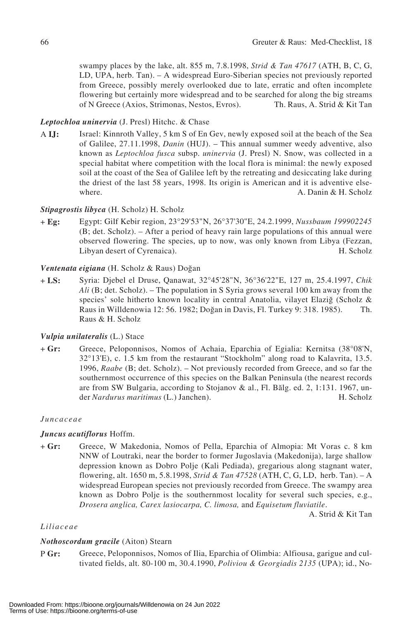swampy places by the lake, alt. 855 m, 7.8.1998, *Strid & Tan 47617* (ATH, B, C, G, LD, UPA, herb. Tan). – A widespread Euro-Siberian species not previously reported from Greece, possibly merely overlooked due to late, erratic and often incomplete flowering but certainly more widespread and to be searched for along the big streams of N Greece (Axios, Strimonas, Nestos, Evros). Th. Raus, A. Strid & Kit Tan

# *Leptochloa uninervia* (J. Presl) Hitchc. & Chase

A **IJ:** Israel: Kinnroth Valley, 5 km S of En Gev, newly exposed soil at the beach of the Sea of Galilee, 27.11.1998, *Danin* (HUJ). – This annual summer weedy adventive, also known as *Leptochloa fusca* subsp. *uninervia* (J. Presl) N. Snow, was collected in a special habitat where competition with the local flora is minimal: the newly exposed soil at the coast of the Sea of Galilee left by the retreating and desiccating lake during the driest of the last 58 years, 1998. Its origin is American and it is adventive elsewhere. A. Danin & H. Scholz

# *Stipagrostis libyca* (H. Scholz) H. Scholz

+ **Eg:** Egypt: Gilf Kebir region, 23°29'53"N, 26°37'30"E, 24.2.1999, *Nussbaum 199902245* (B; det. Scholz). – After a period of heavy rain large populations of this annual were observed flowering. The species, up to now, was only known from Libya (Fezzan, Libyan desert of Cyrenaica). H. Scholz

# *Ventenata eigiana* (H. Scholz & Raus) Doğan

+ **LS:** Syria: Djebel el Druse, Qanawat, 32°45'28"N, 36°36'22"E, 127 m, 25.4.1997, *Chik Ali* (B; det. Scholz). – The population in S Syria grows several 100 km away from the species' sole hitherto known locality in central Anatolia, vilayet Elaziğ (Scholz  $\&$ Raus in Willdenowia 12: 56. 1982; Doğan in Davis, Fl. Turkey 9: 318. 1985). Th. Raus & H. Scholz

# *Vulpia unilateralis* (L.) Stace

+ **Gr:** Greece, Peloponnisos, Nomos of Achaia, Eparchia of Egialia: Kernitsa (38°08'N, 32°13'E), c. 1.5 km from the restaurant "Stockholm" along road to Kalavrita, 13.5. 1996, *Raabe* (B; det. Scholz). – Not previously recorded from Greece, and so far the southernmost occurrence of this species on the Balkan Peninsula (the nearest records are from SW Bulgaria, according to Stojanov & al., Fl. Bălg. ed. 2, 1:131. 1967, under *Nardurus maritimus* (L.) Janchen). H. Scholz

## *Juncaceae*

# *Juncus acutiflorus* Hoffm.

+ **Gr:** Greece, W Makedonia, Nomos of Pella, Eparchia of Almopia: Mt Voras c. 8 km NNW of Loutraki, near the border to former Jugoslavia (Makedonija), large shallow depression known as Dobro Polje (Kali Pediada), gregarious along stagnant water, flowering, alt. 1650 m, 5.8.1998, *Strid & Tan 47528* (ATH, C, G, LD, herb. Tan). – A widespread European species not previously recorded from Greece. The swampy area known as Dobro Polje is the southernmost locality for several such species, e.g., *Drosera anglica, Carex lasiocarpa, C. limosa,* and *Equisetum fluviatile*.

A. Strid & Kit Tan

# *Liliaceae*

# *Nothoscordum gracile* (Aiton) Stearn

P **Gr:** Greece, Peloponnisos, Nomos of Ilia, Eparchia of Olimbia: Alfiousa, garigue and cultivated fields, alt. 80-100 m, 30.4.1990, *Poliviou & Georgiadis 2135* (UPA); id., No